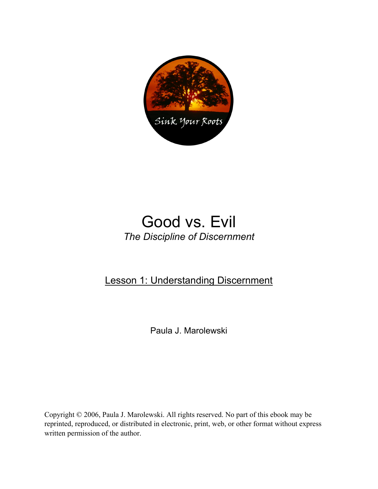

# Good vs. Evil *The Discipline of Discernment*

### Lesson 1: Understanding Discernment

Paula J. Marolewski

Copyright © 2006, Paula J. Marolewski. All rights reserved. No part of this ebook may be reprinted, reproduced, or distributed in electronic, print, web, or other format without express written permission of the author.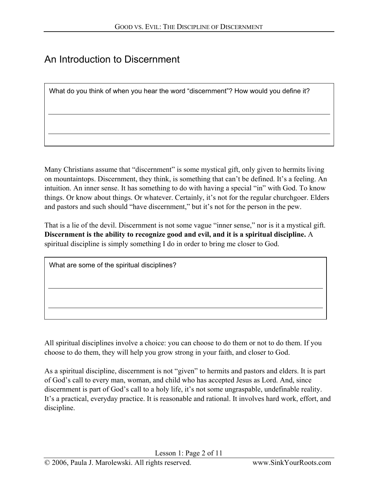## An Introduction to Discernment

What do you think of when you hear the word "discernment"? How would you define it?

Many Christians assume that "discernment" is some mystical gift, only given to hermits living on mountaintops. Discernment, they think, is something that can't be defined. It's a feeling. An intuition. An inner sense. It has something to do with having a special "in" with God. To know things. Or know about things. Or whatever. Certainly, it's not for the regular churchgoer. Elders and pastors and such should "have discernment," but it's not for the person in the pew.

That is a lie of the devil. Discernment is not some vague "inner sense," nor is it a mystical gift. **Discernment is the ability to recognize good and evil, and it is a spiritual discipline.** A spiritual discipline is simply something I do in order to bring me closer to God.

| What are some of the spiritual disciplines? |  |
|---------------------------------------------|--|
|                                             |  |
|                                             |  |
|                                             |  |

All spiritual disciplines involve a choice: you can choose to do them or not to do them. If you choose to do them, they will help you grow strong in your faith, and closer to God.

As a spiritual discipline, discernment is not "given" to hermits and pastors and elders. It is part of God's call to every man, woman, and child who has accepted Jesus as Lord. And, since discernment is part of God's call to a holy life, it's not some ungraspable, undefinable reality. It's a practical, everyday practice. It is reasonable and rational. It involves hard work, effort, and discipline.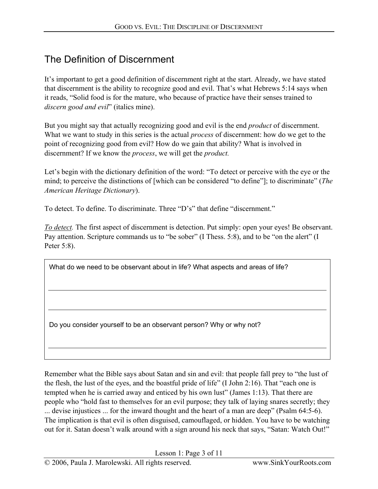## The Definition of Discernment

It's important to get a good definition of discernment right at the start. Already, we have stated that discernment is the ability to recognize good and evil. That's what Hebrews 5:14 says when it reads, "Solid food is for the mature, who because of practice have their senses trained to *discern good and evil*" (italics mine).

But you might say that actually recognizing good and evil is the end *product* of discernment. What we want to study in this series is the actual *process* of discernment: how do we get to the point of recognizing good from evil? How do we gain that ability? What is involved in discernment? If we know the *process*, we will get the *product.* 

Let's begin with the dictionary definition of the word: "To detect or perceive with the eye or the mind; to perceive the distinctions of [which can be considered "to define"]; to discriminate" (*The American Heritage Dictionary*).

To detect. To define. To discriminate. Three "D's" that define "discernment."

*To detect.* The first aspect of discernment is detection. Put simply: open your eyes! Be observant. Pay attention. Scripture commands us to "be sober" (I Thess. 5:8), and to be "on the alert" (I Peter 5:8).

What do we need to be observant about in life? What aspects and areas of life?

Do you consider yourself to be an observant person? Why or why not?

Remember what the Bible says about Satan and sin and evil: that people fall prey to "the lust of the flesh, the lust of the eyes, and the boastful pride of life" (I John 2:16). That "each one is tempted when he is carried away and enticed by his own lust" (James 1:13). That there are people who "hold fast to themselves for an evil purpose; they talk of laying snares secretly; they ... devise injustices ... for the inward thought and the heart of a man are deep" (Psalm 64:5-6). The implication is that evil is often disguised, camouflaged, or hidden. You have to be watching out for it. Satan doesn't walk around with a sign around his neck that says, "Satan: Watch Out!"

Lesson 1: Page 3 of 11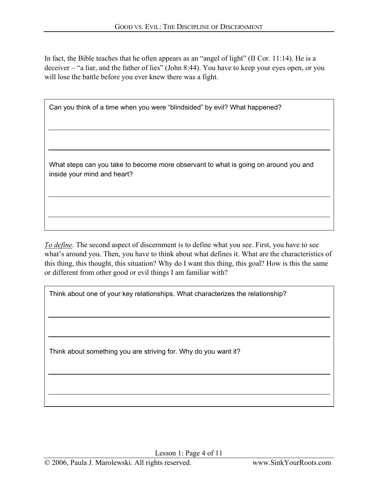In fact, the Bible teaches that he often appears as an "angel of light" (II Cor. 11:14). He is a deceiver – "a liar, and the father of lies" (John 8:44). You have to keep your eyes open, or you will lose the battle before you ever knew there was a fight.

Can you think of a time when you were "blindsided" by evil? What happened?

What steps can you take to become more observant to what is going on around you and inside your mind and heart?

*To define.* The second aspect of discernment is to define what you see. First, you have to see what's around you. Then, you have to think about what defines it. What are the characteristics of this thing, this thought, this situation? Why do I want this thing, this goal? How is this the same or different from other good or evil things I am familiar with?

Think about one of your key relationships. What characterizes the relationship?

Think about something you are striving for. Why do you want it?

Lesson 1: Page 4 of 11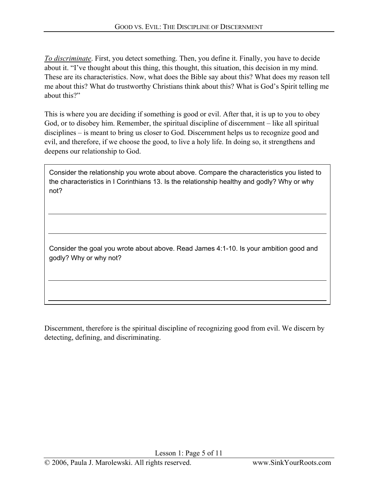*To discriminate*. First, you detect something. Then, you define it. Finally, you have to decide about it. "I've thought about this thing, this thought, this situation, this decision in my mind. These are its characteristics. Now, what does the Bible say about this? What does my reason tell me about this? What do trustworthy Christians think about this? What is God's Spirit telling me about this?"

This is where you are deciding if something is good or evil. After that, it is up to you to obey God, or to disobey him. Remember, the spiritual discipline of discernment – like all spiritual disciplines – is meant to bring us closer to God. Discernment helps us to recognize good and evil, and therefore, if we choose the good, to live a holy life. In doing so, it strengthens and deepens our relationship to God.

Consider the relationship you wrote about above. Compare the characteristics you listed to the characteristics in I Corinthians 13. Is the relationship healthy and godly? Why or why not?

Consider the goal you wrote about above. Read James 4:1-10. Is your ambition good and godly? Why or why not?

Discernment, therefore is the spiritual discipline of recognizing good from evil. We discern by detecting, defining, and discriminating.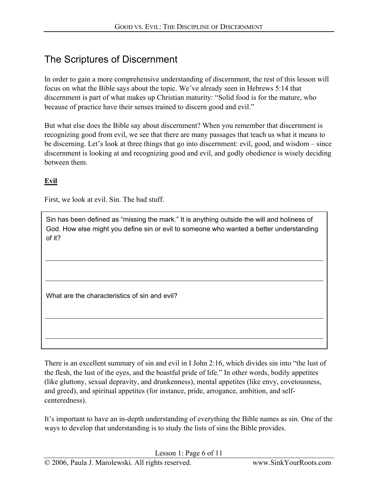### The Scriptures of Discernment

In order to gain a more comprehensive understanding of discernment, the rest of this lesson will focus on what the Bible says about the topic. We've already seen in Hebrews 5:14 that discernment is part of what makes up Christian maturity: "Solid food is for the mature, who because of practice have their senses trained to discern good and evil."

But what else does the Bible say about discernment? When you remember that discernment is recognizing good from evil, we see that there are many passages that teach us what it means to be discerning. Let's look at three things that go into discernment: evil, good, and wisdom – since discernment is looking at and recognizing good and evil, and godly obedience is wisely deciding between them.

#### **Evil**

First, we look at evil. Sin. The bad stuff.

Sin has been defined as "missing the mark." It is anything outside the will and holiness of God. How else might you define sin or evil to someone who wanted a better understanding of it?

What are the characteristics of sin and evil?

There is an excellent summary of sin and evil in I John 2:16, which divides sin into "the lust of the flesh, the lust of the eyes, and the boastful pride of life." In other words, bodily appetites (like gluttony, sexual depravity, and drunkenness), mental appetites (like envy, covetousness, and greed), and spiritual appetites (for instance, pride, arrogance, ambition, and selfcenteredness).

It's important to have an in-depth understanding of everything the Bible names as sin. One of the ways to develop that understanding is to study the lists of sins the Bible provides.

Lesson 1: Page 6 of 11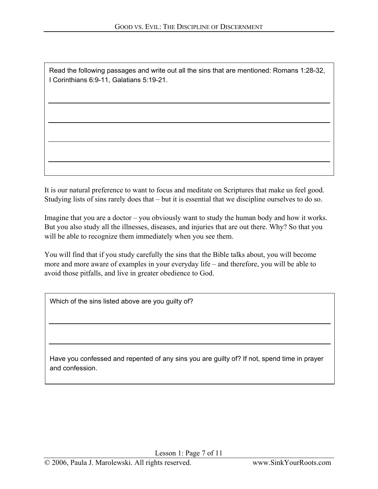Read the following passages and write out all the sins that are mentioned: Romans 1:28-32, I Corinthians 6:9-11, Galatians 5:19-21.

It is our natural preference to want to focus and meditate on Scriptures that make us feel good. Studying lists of sins rarely does that – but it is essential that we discipline ourselves to do so.

Imagine that you are a doctor – you obviously want to study the human body and how it works. But you also study all the illnesses, diseases, and injuries that are out there. Why? So that you will be able to recognize them immediately when you see them.

You will find that if you study carefully the sins that the Bible talks about, you will become more and more aware of examples in your everyday life – and therefore, you will be able to avoid those pitfalls, and live in greater obedience to God.

Which of the sins listed above are you quilty of?

Have you confessed and repented of any sins you are guilty of? If not, spend time in prayer and confession.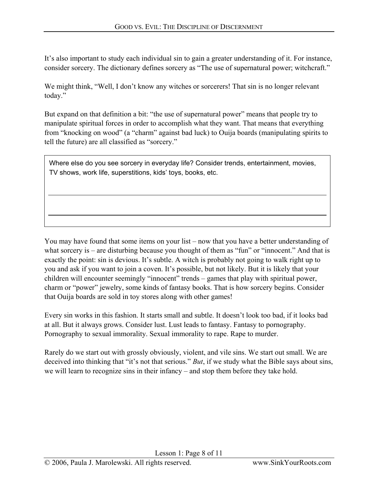It's also important to study each individual sin to gain a greater understanding of it. For instance, consider sorcery. The dictionary defines sorcery as "The use of supernatural power; witchcraft."

We might think, "Well, I don't know any witches or sorcerers! That sin is no longer relevant today."

But expand on that definition a bit: "the use of supernatural power" means that people try to manipulate spiritual forces in order to accomplish what they want. That means that everything from "knocking on wood" (a "charm" against bad luck) to Ouija boards (manipulating spirits to tell the future) are all classified as "sorcery."

Where else do you see sorcery in everyday life? Consider trends, entertainment, movies, TV shows, work life, superstitions, kids' toys, books, etc.

You may have found that some items on your list – now that you have a better understanding of what sorcery is – are disturbing because you thought of them as "fun" or "innocent." And that is exactly the point: sin is devious. It's subtle. A witch is probably not going to walk right up to you and ask if you want to join a coven. It's possible, but not likely. But it is likely that your children will encounter seemingly "innocent" trends – games that play with spiritual power, charm or "power" jewelry, some kinds of fantasy books. That is how sorcery begins. Consider that Ouija boards are sold in toy stores along with other games!

Every sin works in this fashion. It starts small and subtle. It doesn't look too bad, if it looks bad at all. But it always grows. Consider lust. Lust leads to fantasy. Fantasy to pornography. Pornography to sexual immorality. Sexual immorality to rape. Rape to murder.

Rarely do we start out with grossly obviously, violent, and vile sins. We start out small. We are deceived into thinking that "it's not that serious." *But*, if we study what the Bible says about sins, we will learn to recognize sins in their infancy – and stop them before they take hold.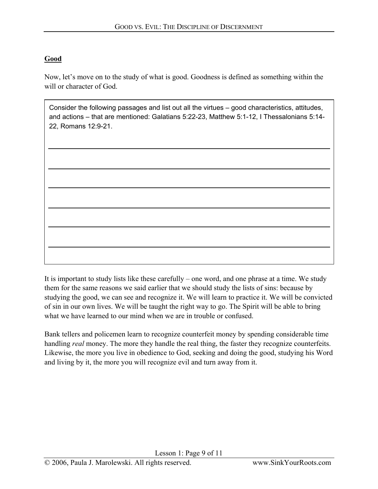#### **Good**

Now, let's move on to the study of what is good. Goodness is defined as something within the will or character of God.

Consider the following passages and list out all the virtues – good characteristics, attitudes, and actions – that are mentioned: Galatians 5:22-23, Matthew 5:1-12, I Thessalonians 5:14- 22, Romans 12:9-21.

It is important to study lists like these carefully – one word, and one phrase at a time. We study them for the same reasons we said earlier that we should study the lists of sins: because by studying the good, we can see and recognize it. We will learn to practice it. We will be convicted of sin in our own lives. We will be taught the right way to go. The Spirit will be able to bring what we have learned to our mind when we are in trouble or confused.

Bank tellers and policemen learn to recognize counterfeit money by spending considerable time handling *real* money. The more they handle the real thing, the faster they recognize counterfeits. Likewise, the more you live in obedience to God, seeking and doing the good, studying his Word and living by it, the more you will recognize evil and turn away from it.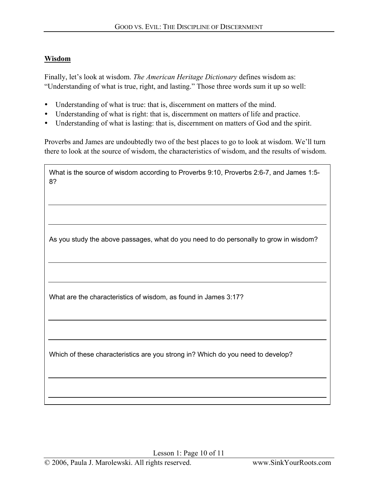#### **Wisdom**

Finally, let's look at wisdom. *The American Heritage Dictionary* defines wisdom as: "Understanding of what is true, right, and lasting." Those three words sum it up so well:

- Understanding of what is true: that is, discernment on matters of the mind.
- Understanding of what is right: that is, discernment on matters of life and practice.
- Understanding of what is lasting: that is, discernment on matters of God and the spirit.

Proverbs and James are undoubtedly two of the best places to go to look at wisdom. We'll turn there to look at the source of wisdom, the characteristics of wisdom, and the results of wisdom.

| What is the source of wisdom according to Proverbs 9:10, Proverbs 2:6-7, and James 1:5-<br>8? |  |
|-----------------------------------------------------------------------------------------------|--|
|                                                                                               |  |
|                                                                                               |  |
| As you study the above passages, what do you need to do personally to grow in wisdom?         |  |
|                                                                                               |  |
| What are the characteristics of wisdom, as found in James 3:17?                               |  |
|                                                                                               |  |
| Which of these characteristics are you strong in? Which do you need to develop?               |  |
|                                                                                               |  |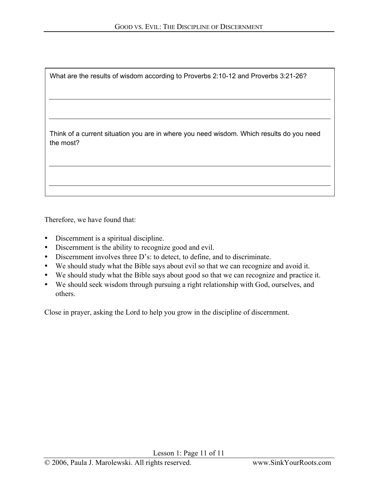| What are the results of wisdom according to Proverbs 2:10-12 and Proverbs 3:21-26?                    |
|-------------------------------------------------------------------------------------------------------|
|                                                                                                       |
| Think of a current situation you are in where you need wisdom. Which results do you need<br>the most? |
|                                                                                                       |

Therefore, we have found that:

- Discernment is a spiritual discipline.
- Discernment is the ability to recognize good and evil.
- Discernment involves three D's: to detect, to define, and to discriminate.
- We should study what the Bible says about evil so that we can recognize and avoid it.
- We should study what the Bible says about good so that we can recognize and practice it.
- We should seek wisdom through pursuing a right relationship with God, ourselves, and others.

Close in prayer, asking the Lord to help you grow in the discipline of discernment.